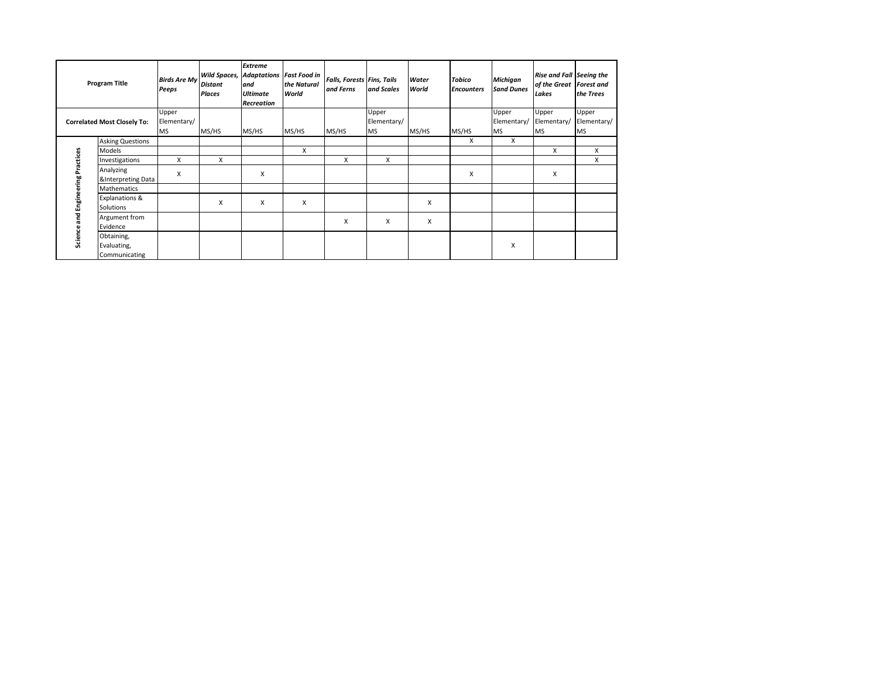| <b>Program Title</b>               |                                            | <b>Birds Are My</b><br>Peeps      | <b>Distant</b><br><b>Places</b> | <b>Extreme</b><br><b>Wild Spaces, Adaptations Fast Food in</b><br>and<br><b>Ultimate</b><br>Recreation | the Natural<br>World | <b>Falls, Forests Fins, Tails</b><br>and Ferns | and Scales                        | Water<br>World | <b>Tobico</b><br><b>Encounters</b> | <b>Michigan</b><br><b>Sand Dunes</b> | Rise and Fall Seeing the<br>of the Great Forest and<br>Lakes | the Trees                         |
|------------------------------------|--------------------------------------------|-----------------------------------|---------------------------------|--------------------------------------------------------------------------------------------------------|----------------------|------------------------------------------------|-----------------------------------|----------------|------------------------------------|--------------------------------------|--------------------------------------------------------------|-----------------------------------|
| <b>Correlated Most Closely To:</b> |                                            | Upper<br>Elementary/<br><b>MS</b> | MS/HS                           | MS/HS                                                                                                  | MS/HS                | MS/HS                                          | Upper<br>Elementary/<br><b>MS</b> | MS/HS          | MS/HS                              | Upper<br>Elementary/<br><b>MS</b>    | Upper<br>Elementary/<br><b>MS</b>                            | Upper<br>Elementary/<br><b>MS</b> |
| Science and Engineering Practices  | <b>Asking Questions</b>                    |                                   |                                 |                                                                                                        |                      |                                                |                                   |                | X                                  | X                                    |                                                              |                                   |
|                                    | Models                                     |                                   |                                 |                                                                                                        | X                    |                                                |                                   |                |                                    |                                      | X                                                            | X                                 |
|                                    | Investigations                             | X                                 | X                               |                                                                                                        |                      | X                                              | X                                 |                |                                    |                                      |                                                              | X                                 |
|                                    | Analyzing<br>&Interpreting Data            | X                                 |                                 | X                                                                                                      |                      |                                                |                                   |                | Χ                                  |                                      | X                                                            |                                   |
|                                    | <b>Mathematics</b>                         |                                   |                                 |                                                                                                        |                      |                                                |                                   |                |                                    |                                      |                                                              |                                   |
|                                    | Explanations &<br>Solutions                |                                   | X                               | X                                                                                                      | X                    |                                                |                                   | X              |                                    |                                      |                                                              |                                   |
|                                    | Argument from<br>Evidence                  |                                   |                                 |                                                                                                        |                      | X                                              | X                                 | X              |                                    |                                      |                                                              |                                   |
|                                    | Obtaining,<br>Evaluating,<br>Communicating |                                   |                                 |                                                                                                        |                      |                                                |                                   |                |                                    | X                                    |                                                              |                                   |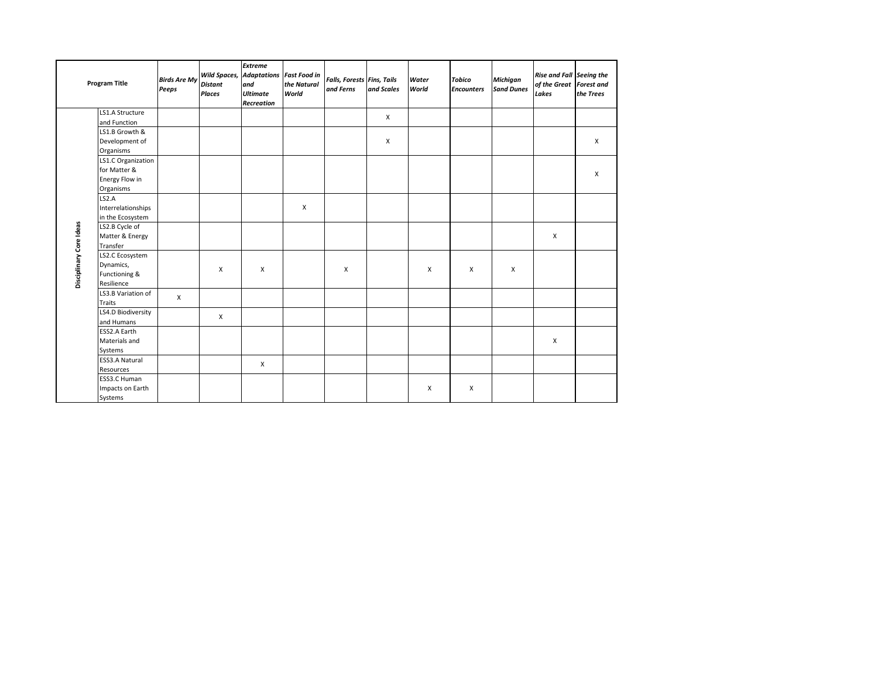| <b>Program Title</b>    |                                                                   | <b>Birds Are My</b><br>Peeps | <b>Distant</b><br><b>Places</b> | <b>Extreme</b><br><b>Wild Spaces, Adaptations</b><br>and<br><b>Ultimate</b><br>Recreation | <b>Fast Food in</b><br>the Natural<br>World | <b>Falls, Forests Fins, Tails</b><br>and Ferns | and Scales   | Water<br>World | <b>Tobico</b><br><b>Encounters</b> | <b>Michigan</b><br><b>Sand Dunes</b> | Rise and Fall Seeing the<br>of the Great Forest and<br>Lakes | the Trees |
|-------------------------|-------------------------------------------------------------------|------------------------------|---------------------------------|-------------------------------------------------------------------------------------------|---------------------------------------------|------------------------------------------------|--------------|----------------|------------------------------------|--------------------------------------|--------------------------------------------------------------|-----------|
|                         | LS1.A Structure                                                   |                              |                                 |                                                                                           |                                             |                                                | $\mathsf{x}$ |                |                                    |                                      |                                                              |           |
|                         | and Function                                                      |                              |                                 |                                                                                           |                                             |                                                |              |                |                                    |                                      |                                                              |           |
|                         | LS1.B Growth &                                                    |                              |                                 |                                                                                           |                                             |                                                |              |                |                                    |                                      |                                                              |           |
|                         | Development of                                                    |                              |                                 |                                                                                           |                                             |                                                | X            |                |                                    |                                      |                                                              | X         |
| Disciplinary Core Ideas | Organisms                                                         |                              |                                 |                                                                                           |                                             |                                                |              |                |                                    |                                      |                                                              |           |
|                         | LS1.C Organization<br>for Matter &<br>Energy Flow in<br>Organisms |                              |                                 |                                                                                           |                                             |                                                |              |                |                                    |                                      |                                                              | $\times$  |
|                         | LS2.A                                                             |                              |                                 |                                                                                           |                                             |                                                |              |                |                                    |                                      |                                                              |           |
|                         | Interrelationships                                                |                              |                                 |                                                                                           | X                                           |                                                |              |                |                                    |                                      |                                                              |           |
|                         | in the Ecosystem                                                  |                              |                                 |                                                                                           |                                             |                                                |              |                |                                    |                                      |                                                              |           |
|                         | LS2.B Cycle of                                                    |                              |                                 |                                                                                           |                                             |                                                |              |                |                                    |                                      |                                                              |           |
|                         | Matter & Energy                                                   |                              |                                 |                                                                                           |                                             |                                                |              |                |                                    |                                      | X                                                            |           |
|                         | Transfer                                                          |                              |                                 |                                                                                           |                                             |                                                |              |                |                                    |                                      |                                                              |           |
|                         | LS2.C Ecosystem                                                   |                              |                                 | X                                                                                         |                                             | X                                              |              | X              | X                                  | X                                    |                                                              |           |
|                         | Dynamics,                                                         |                              | X                               |                                                                                           |                                             |                                                |              |                |                                    |                                      |                                                              |           |
|                         | Functioning &                                                     |                              |                                 |                                                                                           |                                             |                                                |              |                |                                    |                                      |                                                              |           |
|                         | Resilience                                                        |                              |                                 |                                                                                           |                                             |                                                |              |                |                                    |                                      |                                                              |           |
|                         | LS3.B Variation of<br><b>Traits</b>                               | $\mathsf{x}$                 |                                 |                                                                                           |                                             |                                                |              |                |                                    |                                      |                                                              |           |
|                         | LS4.D Biodiversity<br>and Humans                                  |                              | X                               |                                                                                           |                                             |                                                |              |                |                                    |                                      |                                                              |           |
|                         | ESS2.A Earth                                                      |                              |                                 |                                                                                           |                                             |                                                |              |                |                                    |                                      |                                                              |           |
|                         | Materials and                                                     |                              |                                 |                                                                                           |                                             |                                                |              |                |                                    |                                      | X                                                            |           |
|                         | Systems                                                           |                              |                                 |                                                                                           |                                             |                                                |              |                |                                    |                                      |                                                              |           |
|                         | ESS3.A Natural                                                    |                              |                                 | X                                                                                         |                                             |                                                |              |                |                                    |                                      |                                                              |           |
|                         | Resources                                                         |                              |                                 |                                                                                           |                                             |                                                |              |                |                                    |                                      |                                                              |           |
|                         | ESS3.C Human                                                      |                              |                                 |                                                                                           |                                             |                                                |              |                |                                    |                                      |                                                              |           |
|                         | Impacts on Earth                                                  |                              |                                 |                                                                                           |                                             |                                                |              | X              | $\mathsf{x}$                       |                                      |                                                              |           |
|                         | Systems                                                           |                              |                                 |                                                                                           |                                             |                                                |              |                |                                    |                                      |                                                              |           |